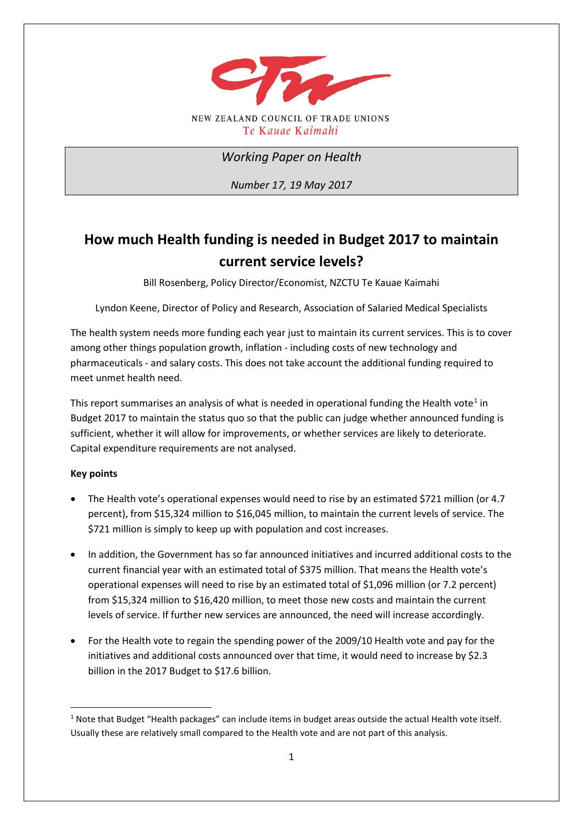

*Working Paper on Health*

*Number 17, 19 May 2017*

# **How much Health funding is needed in Budget 2017 to maintain current service levels?**

Bill Rosenberg, Policy Director/Economist, NZCTU Te Kauae Kaimahi

Lyndon Keene, Director of Policy and Research, Association of Salaried Medical Specialists

The health system needs more funding each year just to maintain its current services. This is to cover among other things population growth, inflation - including costs of new technology and pharmaceuticals - and salary costs. This does not take account the additional funding required to meet unmet health need.

This report summarises an analysis of what is needed in operational funding the Health vote<sup>[1](#page-0-0)</sup> in Budget 2017 to maintain the status quo so that the public can judge whether announced funding is sufficient, whether it will allow for improvements, or whether services are likely to deteriorate. Capital expenditure requirements are not analysed.

## **Key points**

<u>.</u>

- The Health vote's operational expenses would need to rise by an estimated \$721 million (or 4.7 percent), from \$15,324 million to \$16,045 million, to maintain the current levels of service. The \$721 million is simply to keep up with population and cost increases.
- In addition, the Government has so far announced initiatives and incurred additional costs to the current financial year with an estimated total of \$375 million. That means the Health vote's operational expenses will need to rise by an estimated total of \$1,096 million (or 7.2 percent) from \$15,324 million to \$16,420 million, to meet those new costs and maintain the current levels of service. If further new services are announced, the need will increase accordingly.
- For the Health vote to regain the spending power of the 2009/10 Health vote and pay for the initiatives and additional costs announced over that time, it would need to increase by \$2.3 billion in the 2017 Budget to \$17.6 billion.

<span id="page-0-0"></span> $1$  Note that Budget "Health packages" can include items in budget areas outside the actual Health vote itself. Usually these are relatively small compared to the Health vote and are not part of this analysis.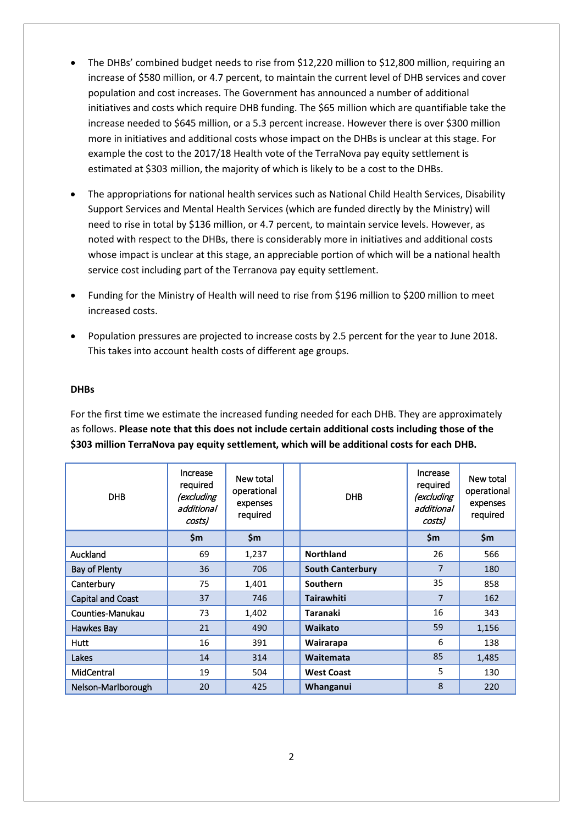- The DHBs' combined budget needs to rise from \$12,220 million to \$12,800 million, requiring an increase of \$580 million, or 4.7 percent, to maintain the current level of DHB services and cover population and cost increases. The Government has announced a number of additional initiatives and costs which require DHB funding. The \$65 million which are quantifiable take the increase needed to \$645 million, or a 5.3 percent increase. However there is over \$300 million more in initiatives and additional costs whose impact on the DHBs is unclear at this stage. For example the cost to the 2017/18 Health vote of the TerraNova pay equity settlement is estimated at \$303 million, the majority of which is likely to be a cost to the DHBs.
- The appropriations for national health services such as National Child Health Services, Disability Support Services and Mental Health Services (which are funded directly by the Ministry) will need to rise in total by \$136 million, or 4.7 percent, to maintain service levels. However, as noted with respect to the DHBs, there is considerably more in initiatives and additional costs whose impact is unclear at this stage, an appreciable portion of which will be a national health service cost including part of the Terranova pay equity settlement.
- Funding for the Ministry of Health will need to rise from \$196 million to \$200 million to meet increased costs.
- Population pressures are projected to increase costs by 2.5 percent for the year to June 2018. This takes into account health costs of different age groups.

#### **DHBs**

For the first time we estimate the increased funding needed for each DHB. They are approximately as follows. **Please note that this does not include certain additional costs including those of the \$303 million TerraNova pay equity settlement, which will be additional costs for each DHB.**

| <b>DHB</b>         | Increase<br>required<br>(excluding<br>additional<br>costs) | New total<br>operational<br>expenses<br>required | <b>DHB</b>              | Increase<br>required<br>(excluding<br>additional<br>costs) | New total<br>operational<br>expenses<br>required |
|--------------------|------------------------------------------------------------|--------------------------------------------------|-------------------------|------------------------------------------------------------|--------------------------------------------------|
|                    | \$m\$                                                      | \$m                                              |                         | \$m\$                                                      | \$m                                              |
| Auckland           | 69                                                         | 1,237                                            | <b>Northland</b>        | 26                                                         | 566                                              |
| Bay of Plenty      | 36                                                         | 706                                              | <b>South Canterbury</b> | $\overline{7}$                                             | 180                                              |
| Canterbury         | 75                                                         | 1,401                                            | <b>Southern</b>         | 35                                                         | 858                                              |
| Capital and Coast  | 37                                                         | 746                                              | <b>Tairawhiti</b>       | $\overline{7}$                                             | 162                                              |
| Counties-Manukau   | 73                                                         | 1,402                                            | <b>Taranaki</b>         | 16                                                         | 343                                              |
| Hawkes Bay         | 21                                                         | 490                                              | Waikato                 | 59                                                         | 1,156                                            |
| <b>Hutt</b>        | 16                                                         | 391                                              | Wairarapa               | 6                                                          | 138                                              |
| Lakes              | 14                                                         | 314                                              | Waitemata               | 85                                                         | 1,485                                            |
| MidCentral         | 19                                                         | 504                                              | <b>West Coast</b>       | 5                                                          | 130                                              |
| Nelson-Marlborough | 20                                                         | 425                                              | Whanganui               | 8                                                          | 220                                              |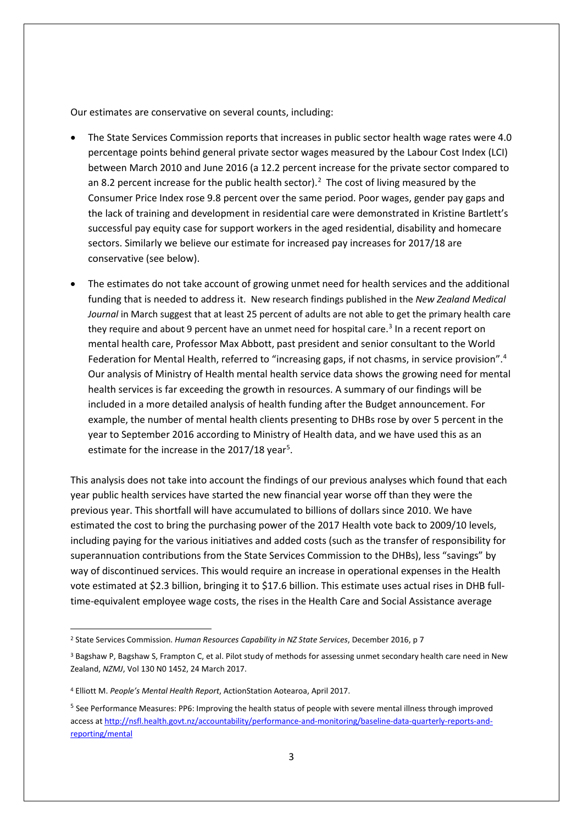Our estimates are conservative on several counts, including:

- The State Services Commission reports that increases in public sector health wage rates were 4.0 percentage points behind general private sector wages measured by the Labour Cost Index (LCI) between March 2010 and June 2016 (a 12.2 percent increase for the private sector compared to an 8.[2](#page-2-0) percent increase for the public health sector).<sup>2</sup> The cost of living measured by the Consumer Price Index rose 9.8 percent over the same period. Poor wages, gender pay gaps and the lack of training and development in residential care were demonstrated in Kristine Bartlett's successful pay equity case for support workers in the aged residential, disability and homecare sectors. Similarly we believe our estimate for increased pay increases for 2017/18 are conservative (see below).
- The estimates do not take account of growing unmet need for health services and the additional funding that is needed to address it. New research findings published in the *New Zealand Medical Journal* in March suggest that at least 25 percent of adults are not able to get the primary health care they require and about 9 percent have an unmet need for hospital care.<sup>[3](#page-2-1)</sup> In a recent report on mental health care, Professor Max Abbott, past president and senior consultant to the World Federation for Mental Health, referred to "increasing gaps, if not chasms, in service provision". [4](#page-2-2) Our analysis of Ministry of Health mental health service data shows the growing need for mental health services is far exceeding the growth in resources. A summary of our findings will be included in a more detailed analysis of health funding after the Budget announcement. For example, the number of mental health clients presenting to DHBs rose by over 5 percent in the year to September 2016 according to Ministry of Health data, and we have used this as an estimate for the increase in the 2017/18 year<sup>[5](#page-2-3)</sup>.

This analysis does not take into account the findings of our previous analyses which found that each year public health services have started the new financial year worse off than they were the previous year. This shortfall will have accumulated to billions of dollars since 2010. We have estimated the cost to bring the purchasing power of the 2017 Health vote back to 2009/10 levels, including paying for the various initiatives and added costs (such as the transfer of responsibility for superannuation contributions from the State Services Commission to the DHBs), less "savings" by way of discontinued services. This would require an increase in operational expenses in the Health vote estimated at \$2.3 billion, bringing it to \$17.6 billion. This estimate uses actual rises in DHB fulltime-equivalent employee wage costs, the rises in the Health Care and Social Assistance average

**.** 

<span id="page-2-0"></span><sup>2</sup> State Services Commission. *Human Resources Capability in NZ State Services*, December 2016, p 7

<span id="page-2-1"></span><sup>3</sup> Bagshaw P, Bagshaw S, Frampton C, et al. Pilot study of methods for assessing unmet secondary health care need in New Zealand, *NZMJ*, Vol 130 N0 1452, 24 March 2017.

<span id="page-2-2"></span><sup>4</sup> Elliott M. *People's Mental Health Report*, ActionStation Aotearoa, April 2017.

<span id="page-2-3"></span><sup>&</sup>lt;sup>5</sup> See Performance Measures: PP6: Improving the health status of people with severe mental illness through improved access at [http://nsfl.health.govt.nz/accountability/performance-and-monitoring/baseline-data-quarterly-reports-and](http://nsfl.health.govt.nz/accountability/performance-and-monitoring/baseline-data-quarterly-reports-and-reporting/mental)[reporting/mental](http://nsfl.health.govt.nz/accountability/performance-and-monitoring/baseline-data-quarterly-reports-and-reporting/mental)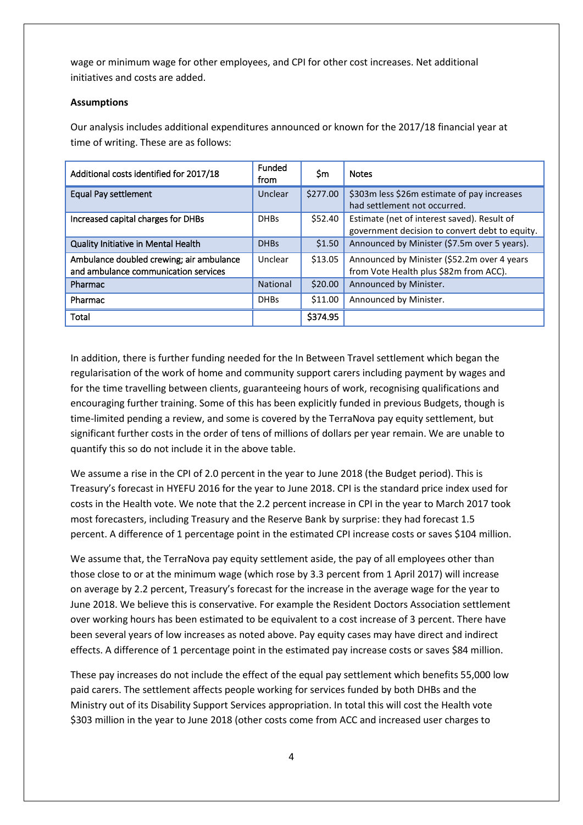wage or minimum wage for other employees, and CPI for other cost increases. Net additional initiatives and costs are added.

#### **Assumptions**

Our analysis includes additional expenditures announced or known for the 2017/18 financial year at time of writing. These are as follows:

| Additional costs identified for 2017/18                                          | <b>Funded</b><br>from | Sm       | <b>Notes</b>                                                                                  |
|----------------------------------------------------------------------------------|-----------------------|----------|-----------------------------------------------------------------------------------------------|
| Equal Pay settlement                                                             | Unclear               | \$277.00 | \$303m less \$26m estimate of pay increases<br>had settlement not occurred.                   |
| Increased capital charges for DHBs                                               | <b>DHBs</b>           | \$52.40  | Estimate (net of interest saved). Result of<br>government decision to convert debt to equity. |
| Quality Initiative in Mental Health                                              | <b>DHBs</b>           | \$1.50   | Announced by Minister (\$7.5m over 5 years).                                                  |
| Ambulance doubled crewing; air ambulance<br>and ambulance communication services | Unclear               | \$13.05  | Announced by Minister (\$52.2m over 4 years<br>from Vote Health plus \$82m from ACC).         |
| Pharmac                                                                          | National              | \$20.00  | Announced by Minister.                                                                        |
| Pharmac                                                                          | <b>DHBs</b>           | \$11.00  | Announced by Minister.                                                                        |
| Total                                                                            |                       | \$374.95 |                                                                                               |

In addition, there is further funding needed for the In Between Travel settlement which began the regularisation of the work of home and community support carers including payment by wages and for the time travelling between clients, guaranteeing hours of work, recognising qualifications and encouraging further training. Some of this has been explicitly funded in previous Budgets, though is time-limited pending a review, and some is covered by the TerraNova pay equity settlement, but significant further costs in the order of tens of millions of dollars per year remain. We are unable to quantify this so do not include it in the above table.

We assume a rise in the CPI of 2.0 percent in the year to June 2018 (the Budget period). This is Treasury's forecast in HYEFU 2016 for the year to June 2018. CPI is the standard price index used for costs in the Health vote. We note that the 2.2 percent increase in CPI in the year to March 2017 took most forecasters, including Treasury and the Reserve Bank by surprise: they had forecast 1.5 percent. A difference of 1 percentage point in the estimated CPI increase costs or saves \$104 million.

We assume that, the TerraNova pay equity settlement aside, the pay of all employees other than those close to or at the minimum wage (which rose by 3.3 percent from 1 April 2017) will increase on average by 2.2 percent, Treasury's forecast for the increase in the average wage for the year to June 2018. We believe this is conservative. For example the Resident Doctors Association settlement over working hours has been estimated to be equivalent to a cost increase of 3 percent. There have been several years of low increases as noted above. Pay equity cases may have direct and indirect effects. A difference of 1 percentage point in the estimated pay increase costs or saves \$84 million.

These pay increases do not include the effect of the equal pay settlement which benefits 55,000 low paid carers. The settlement affects people working for services funded by both DHBs and the Ministry out of its Disability Support Services appropriation. In total this will cost the Health vote \$303 million in the year to June 2018 (other costs come from ACC and increased user charges to